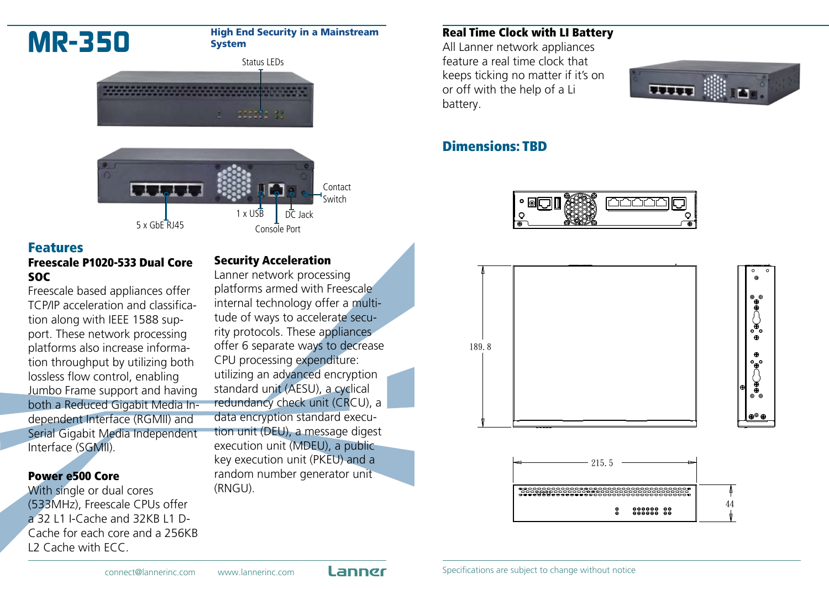

### Features

#### Freescale P1020-533 Dual Core SOC

Freescale based appliances offer TCP/IP acceleration and classification along with IEEE 1588 support. These network processing platforms also increase information throughput by utilizing both lossless flow control, enabling Jumbo Frame support and having both a Reduced Gigabit Media Independent Interface (RGMII) and Serial Gigabit Media Independent Interface (SGMII).

#### Power e500 Core

With single or dual cores (533MHz), Freescale CPUs offer a 32 L1 I-Cache and 32KB L1 D-Cache for each core and a 256KB L2 Cache with ECC.

#### Security Acceleration

Lanner network processing platforms armed with Freescale internal technology offer a multitude of ways to accelerate security protocols. These appliances offer 6 separate ways to decrease CPU processing expenditure: utilizing an advanced encryption standard unit (AESU), a cyclical redundancy check unit (CRCU), a data encryption standard execution unit (DEU), a message digest execution unit (MDEU), a public key execution unit (PKEU) and a random number generator unit (RNGU).

#### Real Time Clock with LI Battery

All Lanner network appliances feature a real time clock that keeps ticking no matter if it's on or off with the help of a Li battery.



### Dimensions: TBD